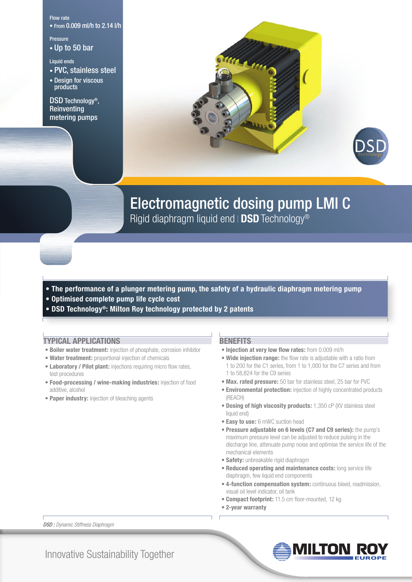#### Flow rate

• From 0.009 ml/h to 2.14 l/h

## Pressure

• Up to 50 bar

### Liquid ends

- PVC, stainless steel
- Design for viscous products

DSD Technology®, Reinventing metering pumps



## Electromagnetic dosing pump LMI C

Rigid diaphragm liquid end | DSD Technology<sup>®</sup>

### **• The performance of a plunger metering pump, the safety of a hydraulic diaphragm metering pump**

- **Optimised complete pump life cycle cost**
- **DSD Technology®: Milton Roy technology protected by 2 patents**

#### **TYPICAL APPLICATIONS**

- **Boiler water treatment:** injection of phosphate, corrosion inhibitor
- **Water treatment:** proportional injection of chemicals
- **Laboratory / Pilot plant:** injections requiring micro flow rates, test procedures
- **Food-processing / wine-making industries:** injection of food additive, alcohol
- **Paper industry:** injection of bleaching agents

#### **BENEFITS**

- **Injection at very low flow rates:** from 0.009 ml/h
- **Wide injection range:** the flow rate is adjustable with a ratio from 1 to 200 for the C1 series, from 1 to 1,000 for the C7 series and from 1 to 58,824 for the C9 series
- **Max. rated pressure:** 50 bar for stainless steel, 25 bar for PVC
- **Environmental protection:** injection of highly concentrated products (REACH)
- **Dosing of high viscosity products:** 1,350 cP (XV stainless steel liquid end)
- **Easy to use:** 6 mWC suction head
- **Pressure adjustable on 6 levels (C7 and C9 series):** the pump's maximum pressure level can be adjusted to reduce pulsing in the discharge line, attenuate pump noise and optimise the service life of the mechanical elements
- **Safety:** unbreakable rigid diaphragm
- **Reduced operating and maintenance costs:** long service life diaphragm, few liquid end components
- **4-function compensation system:** continuous bleed, readmission, visual oil level indicator, oil tank
- **Compact footprint:** 11.5 cm floor-mounted, 12 kg
- **2-year warranty**



Milton Roy

Innovative Sustainability Together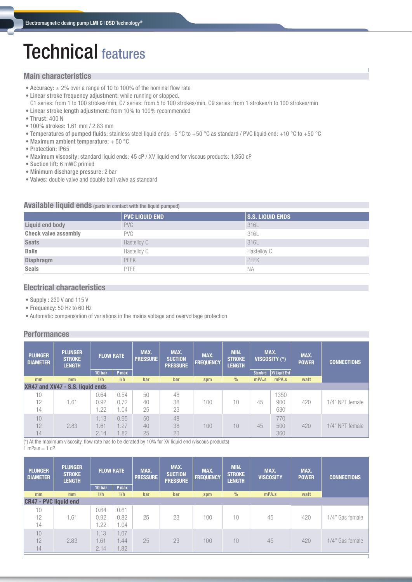# Technical features

## **Main characteristics**

- Accuracy:  $\pm$  2% over a range of 10 to 100% of the nominal flow rate
- Linear stroke frequency adjustment: while running or stopped. C1 series: from 1 to 100 strokes/min, C7 series: from 5 to 100 strokes/min, C9 series: from 1 strokes/h to 100 strokes/min
- Linear stroke length adjustment: from 10% to 100% recommended
- Thrust: 400 N
- 100% strokes: 1.61 mm / 2.83 mm
- Temperatures of pumped fluids: stainless steel liquid ends: -5 °C to +50 °C as standard / PVC liquid end: +10 °C to +50 °C
- Maximum ambient temperature: + 50 °C
- Protection: IP65
- Maximum viscosity: standard liquid ends: 45 cP / XV liquid end for viscous products: 1,350 cP
- Suction lift: 6 mWC primed
- Minimum discharge pressure: 2 bar
- Valves: double valve and double ball valve as standard

## **Available liquid ends** (parts in contact with the liquid pumped)

|                             | <b>PVC LIQUID END</b> | <b>S.S. LIQUID ENDS</b> |
|-----------------------------|-----------------------|-------------------------|
| Liquid end body             | <b>PVC</b>            | 316L                    |
| <b>Check valve assembly</b> | <b>PVC</b>            | 316L                    |
| <b>Seats</b>                | Hastelloy C           | 316L                    |
| <b>Balls</b>                | Hastelloy C           | Hastelloy C             |
| <b>Diaphragm</b>            | PEEK                  | <b>PEEK</b>             |
| <b>Seals</b>                | <b>PTFE</b>           | ΝA                      |

## **Electrical characteristics**

- **•** Supply : 230 V and 115 V
- **•** Frequency: 50 Hz to 60 Hz
- Automatic compensation of variations in the mains voltage and overvoltage protection

## **Performances**

| <b>PLUNGER</b><br><b>DIAMETER</b> | <b>PLUNGER</b><br><b>STROKE</b><br><b>LENGTH</b> |        | <b>FLOW RATE</b> | MAX.<br><b>PRESSURE</b> | MAX.<br><b>SUCTION</b><br><b>PRESSURE</b> | MAX.<br><b>FREQUENCY</b> | MIN.<br><b>STROKE</b><br><b>LENGTH</b> | MAX.<br>VISCOSITY (*) |               | MAX.<br><b>POWER</b> | <b>CONNECTIONS</b> |
|-----------------------------------|--------------------------------------------------|--------|------------------|-------------------------|-------------------------------------------|--------------------------|----------------------------------------|-----------------------|---------------|----------------------|--------------------|
|                                   |                                                  | 10 bar | P max            |                         |                                           |                          |                                        | <b>Standard</b>       | XV Liquid End |                      |                    |
| mm                                | mm                                               | 1/h    | 1/h              | bar                     | bar                                       | spm                      | $\frac{0}{0}$                          | mPA.s                 | mPA.s         | watt                 |                    |
| XR47 and XV47 - S.S. liquid ends  |                                                  |        |                  |                         |                                           |                          |                                        |                       |               |                      |                    |
| 10                                |                                                  | 0.64   | 0.54             | 50                      | 48                                        |                          |                                        |                       | 1350          |                      |                    |
| 12                                | 1.61                                             | 0.92   | 0.72             | 40                      | 38                                        | 100                      | 10                                     | 45                    | 900           | 420                  | 1/4" NPT female    |
| 14                                |                                                  | .22    | .04              | 25                      | 23                                        |                          |                                        |                       | 630           |                      |                    |
| 10                                |                                                  | 1.13   | 0.95             | 50                      | 48                                        |                          |                                        |                       | 770           |                      |                    |
| 12                                | 2.83                                             | 1.61   | 1.27             | 40                      | 38                                        | 100                      | 10                                     | 45                    | 500           | 420                  | 1/4" NPT female    |
| 14                                |                                                  | 2.14   | 1.82             | 25                      | 23                                        |                          |                                        |                       | 360           |                      |                    |

(\*) At the maximum viscosity, flow rate has to be derated by 10% for XV liquid end (viscous products)  $1$  mPa.s = 1 cP

| <b>PLUNGER</b><br><b>DIAMETER</b> | <b>PLUNGER</b><br><b>STROKE</b><br><b>LENGTH</b> | <b>FLOW RATE</b>     |                      | MAX.<br>MAX.<br><b>SUCTION</b><br><b>PRESSURE</b><br><b>PRESSURE</b> |     | MAX.<br><b>FREQUENCY</b> | MIN.<br><b>STROKE</b><br><b>LENGTH</b> | MAX.<br><b>VISCOSITY</b> | MAX.<br><b>POWER</b> | <b>CONNECTIONS</b> |
|-----------------------------------|--------------------------------------------------|----------------------|----------------------|----------------------------------------------------------------------|-----|--------------------------|----------------------------------------|--------------------------|----------------------|--------------------|
|                                   |                                                  | 10 bar               | P max                |                                                                      |     |                          |                                        |                          |                      |                    |
| mm                                | mm                                               | 1/h                  | 1/h                  | bar                                                                  | bar | spm                      | $\frac{0}{0}$                          | mPA.s                    | watt                 |                    |
| <b>CR47 - PVC liquid end</b>      |                                                  |                      |                      |                                                                      |     |                          |                                        |                          |                      |                    |
| 10<br>12<br>14                    | 1.61                                             | 0.64<br>0.92<br>1.22 | 0.61<br>0.82<br>.04  | 25                                                                   | 23  | 100                      | 10                                     | 45                       | 420                  | 1/4" Gas female    |
| 10<br>12<br>14                    | 2.83                                             | 1.13<br>1.61<br>2.14 | 1.07<br>1.44<br>1.82 | 25                                                                   | 23  | 100                      | 10                                     | 45                       | 420                  | 1/4" Gas female    |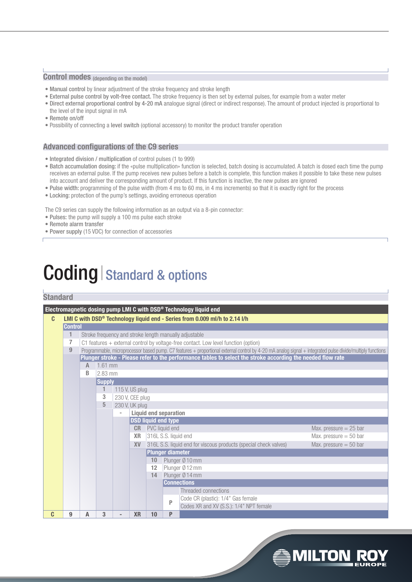## **Control modes** (depending on the model)

- Manual control by linear adjustment of the stroke frequency and stroke length
- External pulse control by volt-free contact. The stroke frequency is then set by external pulses, for example from a water meter
- Direct external proportional control by 4-20 mA analogue signal (direct or indirect response). The amount of product injected is proportional to the level of the input signal in mA
- Remote on/off
- Possibility of connecting a level switch (optional accessory) to monitor the product transfer operation

#### **Advanced configurations of the C9 series**

- **•** Integrated division / multiplication of control pulses (1 to 999)
- Batch accumulation dosing: if the «pulse multiplication» function is selected, batch dosing is accumulated. A batch is dosed each time the pump receives an external pulse. If the pump receives new pulses before a batch is complete, this function makes it possible to take these new pulses into account and deliver the corresponding amount of product. If this function is inactive, the new pulses are ignored
- Pulse width: programming of the pulse width (from 4 ms to 60 ms, in 4 ms increments) so that it is exactly right for the process
- Locking: protection of the pump's settings, avoiding erroneous operation

The C9 series can supply the following information as an output via a 8-pin connector:

- Pulses: the pump will supply a 100 ms pulse each stroke
- Remote alarm transfer
- Power supply (15 VDC) for connection of accessories

# Coding Standard & options

## **Standard**

|   |                                             |                         |                                                                                                                                                            |                          |                 |                                                                                              |                  | Electromagnetic dosing pump LMI C with DSD® Technology liquid end          |  |  |  |  |
|---|---------------------------------------------|-------------------------|------------------------------------------------------------------------------------------------------------------------------------------------------------|--------------------------|-----------------|----------------------------------------------------------------------------------------------|------------------|----------------------------------------------------------------------------|--|--|--|--|
| C |                                             |                         |                                                                                                                                                            |                          |                 |                                                                                              |                  | LMI C with DSD® Technology liquid end - Series from 0.009 ml/h to 2.14 I/h |  |  |  |  |
|   | <b>Control</b>                              |                         |                                                                                                                                                            |                          |                 |                                                                                              |                  |                                                                            |  |  |  |  |
|   | 1                                           |                         | Stroke frequency and stroke length manually adjustable                                                                                                     |                          |                 |                                                                                              |                  |                                                                            |  |  |  |  |
|   | 7                                           |                         | C1 features $+$ external control by voltage-free contact. Low level function (option)                                                                      |                          |                 |                                                                                              |                  |                                                                            |  |  |  |  |
|   | 9                                           |                         | Programmable, microprocessor based pump. C7 features + proportional external control by 4-20 mA analog signal + integrated pulse divide/multiply functions |                          |                 |                                                                                              |                  |                                                                            |  |  |  |  |
|   |                                             |                         | Plunger stroke - Please refer to the performance tables to select the stroke according the needed flow rate                                                |                          |                 |                                                                                              |                  |                                                                            |  |  |  |  |
|   |                                             | 1.61 mm<br>$\mathbb{A}$ |                                                                                                                                                            |                          |                 |                                                                                              |                  |                                                                            |  |  |  |  |
|   |                                             | B                       | 2.83 mm                                                                                                                                                    |                          |                 |                                                                                              |                  |                                                                            |  |  |  |  |
|   |                                             | <b>Supply</b>           |                                                                                                                                                            |                          |                 |                                                                                              |                  |                                                                            |  |  |  |  |
|   |                                             |                         | 1                                                                                                                                                          |                          | 115 V, US plug  |                                                                                              |                  |                                                                            |  |  |  |  |
|   |                                             |                         | 3                                                                                                                                                          |                          | 230 V, CEE plug |                                                                                              |                  |                                                                            |  |  |  |  |
|   |                                             |                         | 5                                                                                                                                                          |                          | 230 V, UK plug  |                                                                                              |                  |                                                                            |  |  |  |  |
|   |                                             |                         |                                                                                                                                                            |                          |                 | <b>Liquid end separation</b>                                                                 |                  |                                                                            |  |  |  |  |
|   |                                             |                         | <b>DSD liquid end type</b>                                                                                                                                 |                          |                 |                                                                                              |                  |                                                                            |  |  |  |  |
|   |                                             |                         |                                                                                                                                                            |                          |                 | <b>CR</b> PVC liquid end<br>Max. pressure $= 25$ bar                                         |                  |                                                                            |  |  |  |  |
|   |                                             |                         |                                                                                                                                                            |                          | <b>XR</b>       | 316L S.S. liquid end<br>Max. pressure $= 50$ bar                                             |                  |                                                                            |  |  |  |  |
|   |                                             |                         |                                                                                                                                                            |                          | <b>XV</b>       | 316L S.S. liquid end for viscous products (special check valves)<br>Max. pressure $= 50$ bar |                  |                                                                            |  |  |  |  |
|   |                                             |                         |                                                                                                                                                            |                          |                 |                                                                                              | Plunger diameter |                                                                            |  |  |  |  |
|   |                                             |                         |                                                                                                                                                            |                          |                 | 10                                                                                           |                  | Plunger Ø10 mm                                                             |  |  |  |  |
|   |                                             |                         |                                                                                                                                                            |                          |                 | 12                                                                                           |                  | Plunger Ø 12 mm                                                            |  |  |  |  |
|   | 14<br>Plunger Ø 14 mm<br><b>Connections</b> |                         |                                                                                                                                                            |                          |                 |                                                                                              |                  |                                                                            |  |  |  |  |
|   |                                             |                         |                                                                                                                                                            |                          |                 |                                                                                              |                  |                                                                            |  |  |  |  |
|   | Threaded connections                        |                         |                                                                                                                                                            |                          |                 |                                                                                              |                  |                                                                            |  |  |  |  |
|   |                                             |                         |                                                                                                                                                            |                          |                 |                                                                                              |                  | Code CR (plastic): 1/4" Gas female                                         |  |  |  |  |
|   |                                             |                         |                                                                                                                                                            |                          |                 |                                                                                              | P                | Codes XR and XV (S.S.): 1/4" NPT female                                    |  |  |  |  |
| C | 9                                           | A                       | 3                                                                                                                                                          | $\overline{\phantom{0}}$ | <b>XR</b>       | 10                                                                                           | P                |                                                                            |  |  |  |  |